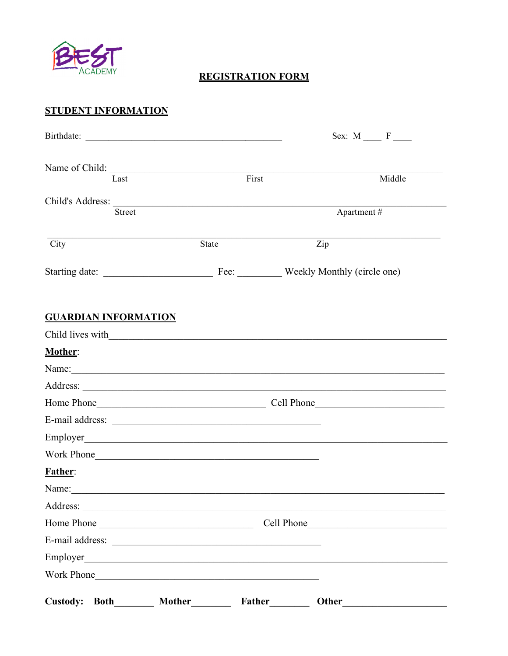

### **REGISTRATION FORM**

# **STUDENT INFORMATION**

| Birthdate:                        |                                                                                                                       | Sex: $M \_ F \_$       |
|-----------------------------------|-----------------------------------------------------------------------------------------------------------------------|------------------------|
| Name of Child:<br>Last            | First                                                                                                                 | Middle                 |
|                                   |                                                                                                                       |                        |
| Child's Address:<br><b>Street</b> |                                                                                                                       | Apartment#             |
|                                   |                                                                                                                       |                        |
| City                              | State                                                                                                                 | Zip                    |
|                                   |                                                                                                                       |                        |
| <b>GUARDIAN INFORMATION</b>       |                                                                                                                       |                        |
|                                   |                                                                                                                       |                        |
| Mother:                           |                                                                                                                       |                        |
|                                   |                                                                                                                       |                        |
|                                   |                                                                                                                       |                        |
|                                   |                                                                                                                       |                        |
| E-mail address:                   |                                                                                                                       |                        |
|                                   |                                                                                                                       |                        |
| Work Phone                        |                                                                                                                       |                        |
| <b>Father:</b>                    |                                                                                                                       |                        |
| Name: Name:                       |                                                                                                                       |                        |
| Address:                          | <u> 1989 - Johann John Stein, marwolaeth a bhannaich an t-Albann an t-Albann an t-Albann an t-Albann an t-Albann </u> |                        |
| Home Phone                        |                                                                                                                       |                        |
|                                   |                                                                                                                       |                        |
|                                   |                                                                                                                       |                        |
| Work Phone                        |                                                                                                                       |                        |
| Custody: Both________             | Mother                                                                                                                | Other<br><b>Father</b> |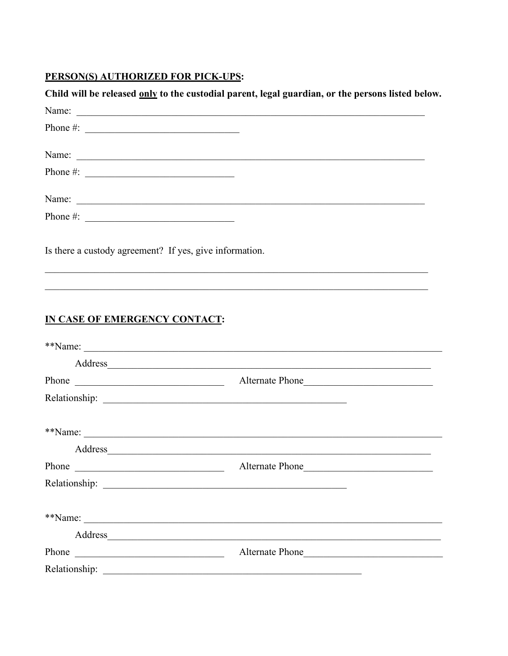# PERSON(S) AUTHORIZED FOR PICK-UPS:

| Name:<br>Phone $\#$ :<br>Name:<br>Name: Name: Name: Name: Name: Name: Name: Name: Name: Name: Name: Name: Name: Name: Name: Name: Name: Name: Name: Name: Name: Name: Name: Name: Name: Name: Name: Name: Name: Name: Name: Name: Name: Name: Name: Name: Name:<br>Is there a custody agreement? If yes, give information.<br>,我们也不能在这里的人,我们也不能在这里的人,我们也不能在这里的人,我们也不能在这里的人,我们也不能在这里的人,我们也不能在这里的人,我们也不能在这里的人,我们也 |
|-----------------------------------------------------------------------------------------------------------------------------------------------------------------------------------------------------------------------------------------------------------------------------------------------------------------------------------------------------------------------------------------------------------------|
|                                                                                                                                                                                                                                                                                                                                                                                                                 |
|                                                                                                                                                                                                                                                                                                                                                                                                                 |
|                                                                                                                                                                                                                                                                                                                                                                                                                 |
|                                                                                                                                                                                                                                                                                                                                                                                                                 |
|                                                                                                                                                                                                                                                                                                                                                                                                                 |
|                                                                                                                                                                                                                                                                                                                                                                                                                 |
| ,我们也不能在这里的人,我们也不能在这里的人,我们也不能在这里的人,我们也不能在这里的人,我们也不能在这里的人,我们也不能在这里的人,我们也不能在这里的人,我们也                                                                                                                                                                                                                                                                                                                               |
|                                                                                                                                                                                                                                                                                                                                                                                                                 |
| Address and the contract of the contract of the contract of the contract of the contract of the contract of the contract of the contract of the contract of the contract of the contract of the contract of the contract of th                                                                                                                                                                                  |
| Alternate Phone                                                                                                                                                                                                                                                                                                                                                                                                 |
|                                                                                                                                                                                                                                                                                                                                                                                                                 |
|                                                                                                                                                                                                                                                                                                                                                                                                                 |

| **Name:                                                                                                                         | <u> 1980 - John Stone, Amerikaansk politiker († 1901)</u>                                                             |  |
|---------------------------------------------------------------------------------------------------------------------------------|-----------------------------------------------------------------------------------------------------------------------|--|
| Address                                                                                                                         |                                                                                                                       |  |
| Phone<br><u> Alexandria de la construcción de la construcción de la construcción de la construcción de la construcción de l</u> | Alternate Phone                                                                                                       |  |
|                                                                                                                                 |                                                                                                                       |  |
|                                                                                                                                 |                                                                                                                       |  |
| **Name:                                                                                                                         |                                                                                                                       |  |
| Address                                                                                                                         | <u> 1989 - Johann Stoff, deutscher Stoff, der Stoff, der Stoff, der Stoff, der Stoff, der Stoff, der Stoff, der S</u> |  |
| Phone<br><u> 1980 - Johann John Stoff, deutscher Stoffen und der Stoffen und der Stoffen und der Stoffen und der Stoffen u</u>  | Alternate Phone                                                                                                       |  |
| Relationship:                                                                                                                   |                                                                                                                       |  |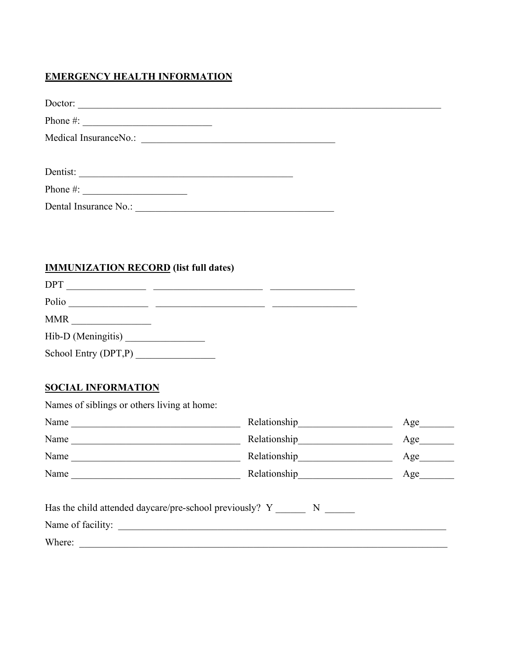### **EMERGENCY HEALTH INFORMATION**

| Doctor:               |  |
|-----------------------|--|
|                       |  |
|                       |  |
|                       |  |
| Dentist:              |  |
| Phone $\#$ :          |  |
| Dental Insurance No.: |  |
|                       |  |

# **IMMUNIZATION RECORD** (list full dates)

| <b>DPT</b>              |  |
|-------------------------|--|
| Polio                   |  |
| <b>MMR</b>              |  |
| Hib-D (Meningitis)      |  |
| School Entry $(DPT, P)$ |  |
|                         |  |

### **SOCIAL INFORMATION**

Names of siblings or others living at home:

| Name                                                      | Relationship                  | Age |
|-----------------------------------------------------------|-------------------------------|-----|
| Name                                                      |                               | Age |
| Name                                                      | Relationship<br><u>Letter</u> | Age |
| Name                                                      | Relationship                  | Age |
| Has the child attended daycare/pre-school previously? Y N |                               |     |
| Name of facility:                                         |                               |     |
| Where:                                                    |                               |     |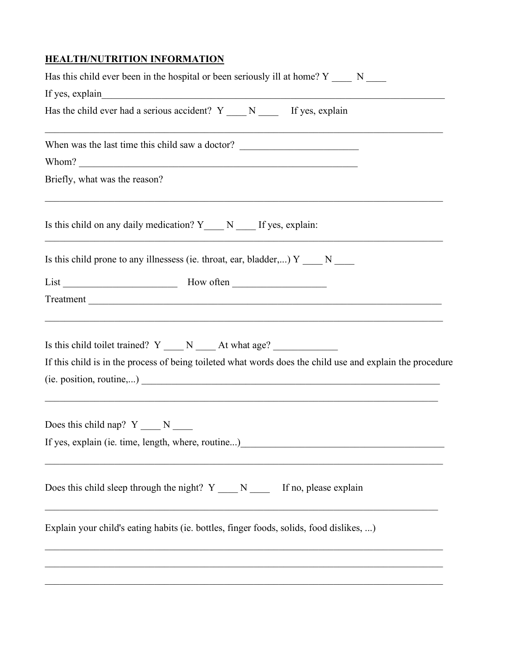### **HEALTH/NUTRITION INFORMATION**

| Has this child ever been in the hospital or been seriously ill at home? $Y \_\_\_\_N$ N                                                                                                                                                                                                           |  |
|---------------------------------------------------------------------------------------------------------------------------------------------------------------------------------------------------------------------------------------------------------------------------------------------------|--|
| If yes, explain<br><u> 1989 - Johann John Stoff, deutscher Stoffen und der Stoffen und der Stoffen und der Stoffen und der Stoffen un</u><br>Has the child ever had a serious accident? $Y_{\text{max}} N_{\text{max}}$ If yes, explain                                                           |  |
|                                                                                                                                                                                                                                                                                                   |  |
| When was the last time this child saw a doctor? _________________________________                                                                                                                                                                                                                 |  |
|                                                                                                                                                                                                                                                                                                   |  |
| Briefly, what was the reason?<br><u> 1999 - 1999 - 1999 - 1999 - 1999 - 1999 - 1999 - 1999 - 1999 - 1999 - 1999 - 1999 - 1999 - 1999 - 1999 - 199</u>                                                                                                                                             |  |
| Is this child on any daily medication? $Y_{\text{max}} N_{\text{max}}$ If yes, explain:                                                                                                                                                                                                           |  |
| Is this child prone to any illnessess (ie. throat, ear, bladder,) $Y \_\_\_N \_\_\_\_N$                                                                                                                                                                                                           |  |
|                                                                                                                                                                                                                                                                                                   |  |
|                                                                                                                                                                                                                                                                                                   |  |
| <u> 1989 - Johann Harry Harry Harry Harry Harry Harry Harry Harry Harry Harry Harry Harry Harry Harry Harry Harry</u><br>Is this child toilet trained? $Y \_ N \_ N \_ At what age?$<br>If this child is in the process of being toileted what words does the child use and explain the procedure |  |
| Does this child nap? $Y_{\_\_\_N}$ N                                                                                                                                                                                                                                                              |  |
| If yes, explain (ie. time, length, where, routine)                                                                                                                                                                                                                                                |  |
| Does this child sleep through the night? $Y_{\text{max}} N_{\text{max}}$ If no, please explain                                                                                                                                                                                                    |  |
| Explain your child's eating habits (ie. bottles, finger foods, solids, food dislikes, )                                                                                                                                                                                                           |  |
|                                                                                                                                                                                                                                                                                                   |  |
|                                                                                                                                                                                                                                                                                                   |  |